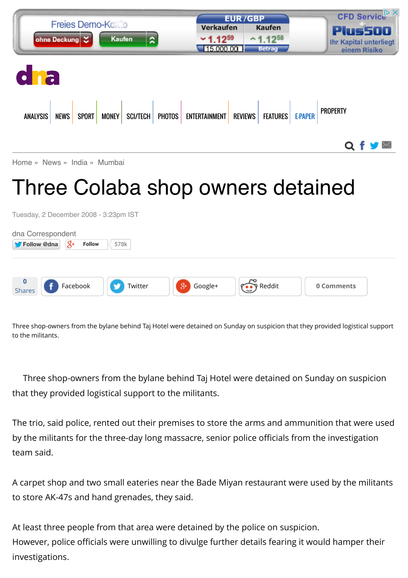| <b>Freies Demo-Konto</b><br>ohne Deckung<br>Kaufen                               | $\overline{\mathbf{z}}$<br>$~1.12^{59}$ | <b>EUR/GBP</b><br>Verkaufen<br>Kaufen<br>$^{\sim}1.12^{58}$<br>15.000.00<br><b>Betrag</b> | CFD Service <sup>D</sup> X<br><b>Plus500</b><br><b>Ihr Kapital unterliegt</b><br>einem Risiko |
|----------------------------------------------------------------------------------|-----------------------------------------|-------------------------------------------------------------------------------------------|-----------------------------------------------------------------------------------------------|
| dha                                                                              |                                         |                                                                                           |                                                                                               |
| ANALYSIS NEWS SPORT MONEY SCI/TECH PHOTOS ENTERTAINMENT REVIEWS FEATURES E-PAPER |                                         |                                                                                           | <b>PROPERTY</b>                                                                               |
| Home » News » India » Mumbai                                                     |                                         |                                                                                           | Q f y M                                                                                       |

# Three Colaba shop owners detained

Tuesday, 2 December 2008 - 3:23pm IST

| dna Correspondent<br>Follow @dna | $\overline{Q}$ + | <b>Follow</b> | 578k    |               |        |            |  |
|----------------------------------|------------------|---------------|---------|---------------|--------|------------|--|
|                                  |                  |               |         |               |        |            |  |
| <b>0</b><br>Shares               | Facebook         |               | Twitter | Google+<br>8+ | Reddit | 0 Comments |  |

Three shop-owners from the bylane behind Taj Hotel were detained on Sunday on suspicion that they provided logistical support to the militants.

Three shop-owners from the bylane behind Taj Hotel were detained on Sunday on suspicion that they provided logistical support to the militants.

The trio, said police, rented out their premises to store the arms and ammunition that were used by the militants for the three-day long massacre, senior police officials from the investigation team said.

A carpet shop and two small eateries near the Bade Miyan restaurant were used by the militants to store AK-47s and hand grenades, they said.

At least three people from that area were detained by the police on suspicion. However, police officials were unwilling to divulge further details fearing it would hamper their investigations.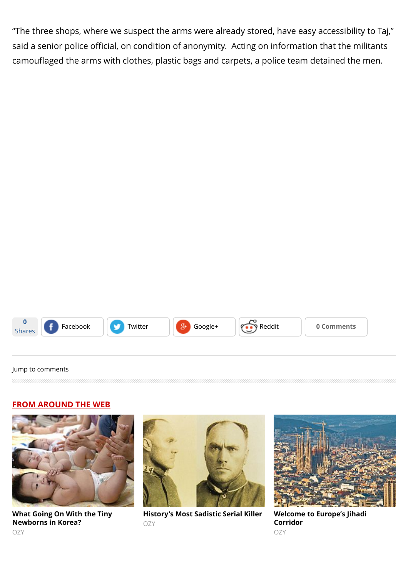"The three shops, where we suspect the arms were already stored, have easy accessibility to Taj," said a senior police official, on condition of anonymity. Acting on information that the militants camouflaged the arms with clothes, plastic bags and carpets, a police team detained the men.



#### [Jump to comments](http://www.dnaindia.com/mumbai/report-three-colaba-shop-owners-detained-1210907#comments)

#### **FROM AROUND THE WEB**



**[What Going On With the Tiny](http://www.ozy.com/acumen/whats-wrong-with-all-those-little-newborns/40384?utm_source=Outbrain&utm_medium=CPC&utm_campaign=INTL%20-%20All%20Clicks%20ALL%20Devices) Newborns in Korea?** OZY



**[History's Most Sadistic Serial Killer](http://www.ozy.com/flashback/historys-most-sadistic-serial-killer/40585?utm_source=Outbrain&utm_medium=CPC&utm_campaign=INTL%20-%20All%20Clicks%20ALL%20Devices)** OZY



**[Welcome to Europe's Jihadi](http://www.ozy.com/fast-forward/welcome-to-europes-jihadi-corridor/60342?utm_source=Outbrain&utm_medium=CPC&utm_campaign=INTL%20-%20All%20Clicks%20ALL%20Devices) Corridor** OZY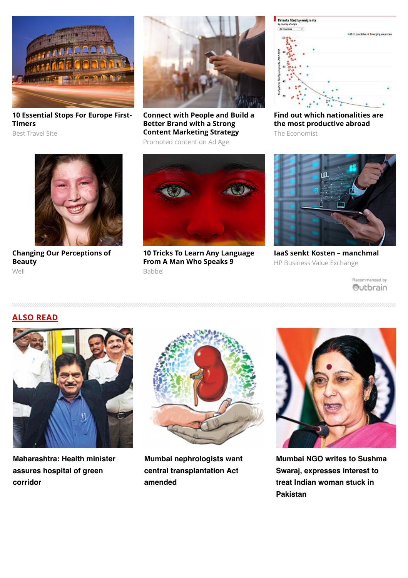

**[10 Essential Stops For Europe First-](http://travel-gist.com/10-essential-stops-for-europe-first-timers/)Timers**

Best Travel Site



**[Connect with People and Build a](http://brandedcontent.adage.com/mic/outbrain/?utm_medium=sponsored-webpage&utm_source=adage-hub&utm_campaign=obamplify) Better Brand with a Strong Content Marketing Strategy**

Promoted content on Ad Age



**[Find out which nationalities are](https://ad.doubleclick.net/ddm/trackclk/N5532.1599088.OUTBRAIN.COM/B8673710.120813307;dc_trk_aid=293675026;dc_trk_cid=62482706) the most productive abroad** The Economist



**[Changing Our Perceptions of](http://well.blogs.nytimes.com/2015/07/30/changing-our-perceptions-of-beauty/?WT.mc_id=2015-AUGUST-OTB-INTL_AUD_DEV-0801-0831&WT.mc_ev=click&ad-keywords=IntlAudDev) Beauty** Well



**[10 Tricks To Learn Any Language](http://www.babbel.com/en/magazine/10-tips-from-an-expert?slc=engmag-a1-vid-bv1-tipsandtricks-ob&utm_source=outbrain&utm_medium=cpc&utm_campaign=cd_engall_gen_cde_bv1_polyglot) From A Man Who Speaks 9** Babbel



**[IaaS senkt Kosten – manchmal](http://businessvalueexchange.com/de/2015/06/23/iaas-senkt-kosten-manchmal/)** HP Business Value Exchange

Recommended by Outbrain

# **ALSO READ**



**[Maharashtra: Health minister](http://www.dnaindia.com/mumbai/report-health-minister-assures-hospital-of-green-corridor-2111443) assures hospital of green corridor**



**[Mumbai nephrologists want](http://www.dnaindia.com/mumbai/report-mumbai-nephrologists-want-central-transplantation-act-amended-2111464) central transplantation Act amended**



**[Mumbai NGO writes to Sushma](http://www.dnaindia.com/mumbai/report-mumbai-ngo-writes-to-sushma-swaraj-expresses-interest-to-treat-indian-woman-stuck-in-pakistan-2111451) Swaraj, expresses interest to treat Indian woman stuck in Pakistan**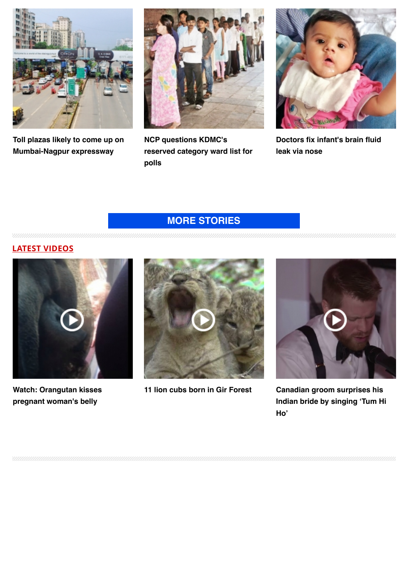

**[Toll plazas likely to come up on](http://www.dnaindia.com/mumbai/report-toll-plazas-likely-to-come-up-on-mumbai-nagpur-expressway-2111314) Mumbai-Nagpur expressway**



**NCP questions KDMC's [reserved category ward list for](http://www.dnaindia.com/mumbai/report-ncp-questions-kdmc-s-reserved-category-ward-list-for-polls-2111208) polls**



**[Doctors fix infant's brain fluid](http://www.dnaindia.com/mumbai/report-doctors-fix-infant-s-brain-fluid-leak-via-nose-2111188) leak via nose**

# **[MORE STORIES](http://www.dnaindia.com/mumbai)**

**LATEST VIDEOS**



**[Watch: Orangutan kisses](http://www.dnaindia.com/world/video-watch-orangutan-kisses-pregnant-woman-s-belly-2109068) pregnant woman's belly**



**[11 lion cubs born in Gir Forest](http://www.dnaindia.com/india/video-11-lion-cubs-born-in-gir-forest-2105493) Canadian groom surprises his**



**[Indian bride by singing 'Tum Hi](http://www.dnaindia.com/world/video-canadian-groom-surprises-his-indian-bride-by-singing-tum-hi-ho-2104831) Ho'**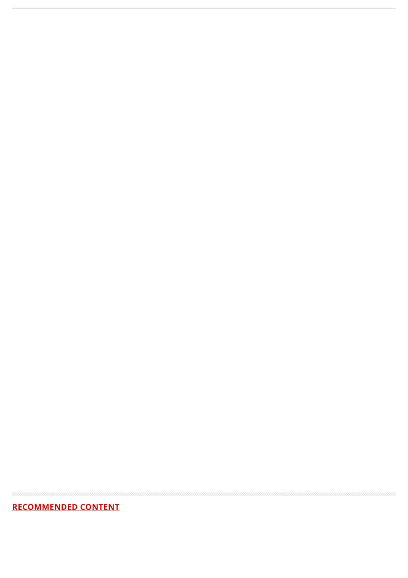# **RECOMMENDED CONTENT**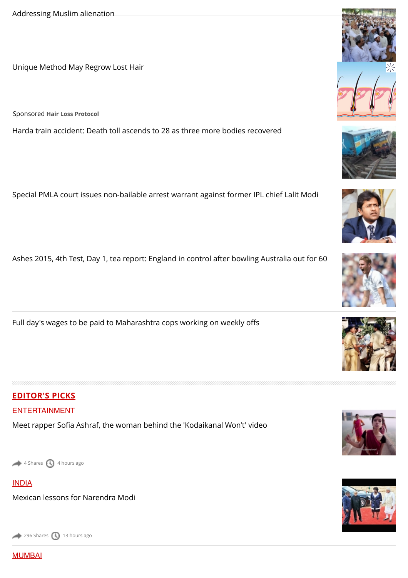[Unique Method May Regrow Lost Hair](https://beap.gemini.yahoo.com/mbclk?bv=1.0.0&es=0ObteD8GIS_9VAV1zce8EzGCt_xnhzyg0TZtW23DwlHDhxV28RegDf5vpNFdNlIIRj4MkN2ZdkDWYzyLBAHkbWwGIoSRX6vs3LJvETUN1n1oJogEb9q.sb1sHvUSjDf4kuSgFJzYYCtbfmMpI6tGrbolErZzlehdmyLbX47mZcgdelMUPj6LpQApFPM37TnxB_eGRFgXwF8hHx_mwRnrEANZKBSiDQroQUtVoviuVzQrxr1jrr97O5Obc6ZbL.x.tLFcy8aSmhec6ke4YdueHxGIIIbstOjrshzTbA2iqtGcJP3kYjxxUDGnhByEwy00TkFz9xkO3jg0e21YzLwIXDAK47RgAnWgUzZsaOqruoxvXHOsQax3Tzc26t7TWXn7u_wWyJhqlNHoPSR3gRN6j80xYxuDT7SMdpGMjotUpLND5zhCwGiiVOE2_5IpC4BaeEpADap5sMz9._TotM6A4_bjx_WtBHrxQ5u5UZSer3ggD4F.Nxs73hFfsImdn8_FR5.AVK8jbJZbGBmpCoXM9sV4q9L_0cykEHYPLxmj%26lp=)

Sponsored **Hair Loss Protocol**

[Harda train accident: Death toll ascends to 28 as three more bodies recovered](http://www.dnaindia.com/india/report-harda-train-accident-death-toll-ascends-to-28-as-three-more-bodies-recovered-2111658)

[Special PMLA court issues non-bailable arrest warrant against former IPL chief Lalit Modi](http://www.dnaindia.com/india/report-special-pmla-court-issues-non-bailable-arrest-warrant-against-former-ipl-chief-lalit-modi-2111259)

[Ashes 2015, 4th Test, Day 1, tea report: England in control after bowling Australia out for 60](http://www.dnaindia.com/sport/report-ashes-2015-4th-test-day-1-tea-report-england-in-control-after-bowling-australia-out-for-60-2111770)

[Full day's wages to be paid to Maharashtra cops working on weekly o](http://www.dnaindia.com/mumbai/report-full-day-s-wages-to-be-paid-to-maharashtra-cops-working-on-weekly-offs-2111771)ffs

# **EDITOR'S PICKS**

#### [ENTERTAINMENT](http://www.dnaindia.com/entertainment)

Meet rapper Sofi[a Ashraf, the woman behind the 'Kodaikanal Won't' video](http://www.dnaindia.com/entertainment/report-meet-rapper-sofia-ashraf-the-woman-behind-the-kodaikanal-won-t-video-2111670)

[4 Shares](http://www.dnaindia.com/mumbai/report-three-colaba-shop-owners-detained-1210907#) [4 hours ago](http://www.dnaindia.com/mumbai/report-three-colaba-shop-owners-detained-1210907#)

#### [INDIA](http://www.dnaindia.com/india)

[MUMBAI](http://www.dnaindia.com/mumbai)

[Mexican lessons for Narendra Modi](http://www.dnaindia.com/india/report-mexican-lessons-for-narendra-modi-2111501)

[296 Shares](http://www.dnaindia.com/mumbai/report-three-colaba-shop-owners-detained-1210907#) [13 hours ago](http://www.dnaindia.com/mumbai/report-three-colaba-shop-owners-detained-1210907#)











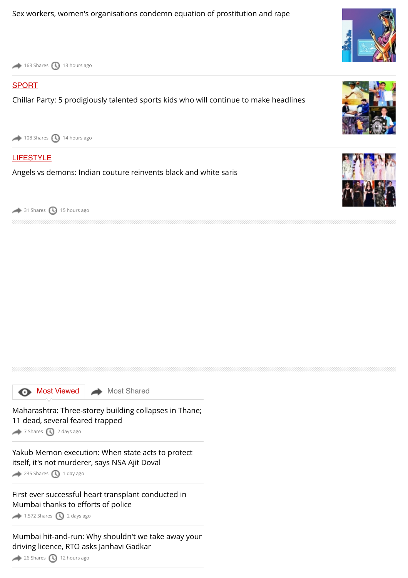[163 Shares](http://www.dnaindia.com/mumbai/report-three-colaba-shop-owners-detained-1210907#) [13 hours ago](http://www.dnaindia.com/mumbai/report-three-colaba-shop-owners-detained-1210907#)

#### [SPORT](http://www.dnaindia.com/sport)

[Chillar Party: 5 prodigiously talented sports kids who will continue to make headlines](http://www.dnaindia.com/sport/report-chillar-party-5-prodigiously-talented-sports-kids-who-will-continue-to-make-headlines-2111405)

 $108$  Shares  $\bigodot$  [14 hours ago](http://www.dnaindia.com/mumbai/report-three-colaba-shop-owners-detained-1210907#)

#### **[LIFESTYLE](http://www.dnaindia.com/lifestyle)**

[Angels vs demons: Indian couture reinvents black and white saris](http://www.dnaindia.com/lifestyle/report-angels-vs-demons-indian-couture-reinvents-black-and-white-saris-2111389)

 $\rightarrow$  [31 Shares](http://www.dnaindia.com/mumbai/report-three-colaba-shop-owners-detained-1210907#)  $\odot$  [15 hours ago](http://www.dnaindia.com/mumbai/report-three-colaba-shop-owners-detained-1210907#)

**[Most Viewed](http://www.dnaindia.com/mumbai/report-three-colaba-shop-owners-detained-1210907#mostviewed) [Most Shared](http://www.dnaindia.com/mumbai/report-three-colaba-shop-owners-detained-1210907#mostshared)** 

[Maharashtra: Three-storey building collapses in Thane;](http://www.dnaindia.com/mumbai/report-maharashtra-three-storey-building-collapses-in-thane-11-dead-several-feared-trapped-2110890) 11 dead, several feared trapped

[7 Shares](http://www.dnaindia.com/mumbai/report-three-colaba-shop-owners-detained-1210907#) [2 days ago](http://www.dnaindia.com/mumbai/report-three-colaba-shop-owners-detained-1210907#)

[Yakub Memon execution: When state acts to protect](http://www.dnaindia.com/mumbai/report-yakub-memon-execution-when-state-acts-to-protect-itself-it-s-not-murderer-says-nsa-ajit-doval-2111205) itself, it's not murderer, says NSA Ajit Doval

 $235$  Shares  $\bigcirc$  [1 day ago](http://www.dnaindia.com/mumbai/report-three-colaba-shop-owners-detained-1210907#)

[First ever successful heart transplant conducted in](http://www.dnaindia.com/mumbai/report-first-ever-successful-heart-transplant-conducted-in-mumbai-thanks-to-efforts-of-police-2110832) Mumbai thanks to efforts of police

 $1,572$  Shares [2 days ago](http://www.dnaindia.com/mumbai/report-three-colaba-shop-owners-detained-1210907#)

[Mumbai hit-and-run: Why shouldn't we take away your](http://www.dnaindia.com/mumbai/report-mumbai-hit-and-run-why-shouldn-t-we-take-away-your-driving-licence-rto-asks-janhavi-gadkar-2111529) driving licence, RTO asks Janhavi Gadkar

[26 Shares](http://www.dnaindia.com/mumbai/report-three-colaba-shop-owners-detained-1210907#) [12 hours ago](http://www.dnaindia.com/mumbai/report-three-colaba-shop-owners-detained-1210907#)





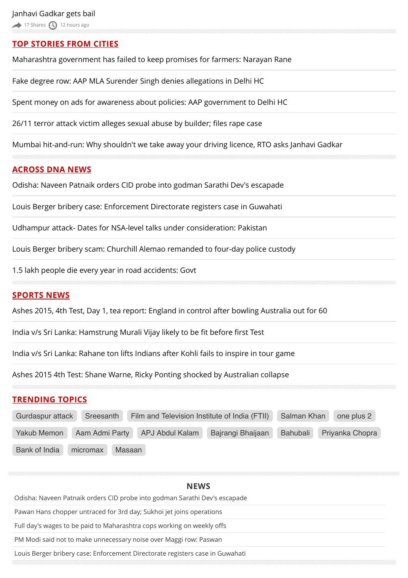# **TOP STORIES FROM CITIES**

[Maharashtra government has failed to keep promises for farmers: Narayan Rane](http://www.dnaindia.com/mumbai/report-maharashtra-government-has-failed-to-keep-promises-for-farmers-narayan-rane-2111746)

[Fake degree row: AAP MLA Surender Singh denies allegations in Delhi HC](http://www.dnaindia.com/delhi/report-fake-degree-row-aap-mla-surender-singh-denies-allegations-in-delhi-hc-2111748)

[Spent money on ads for awareness about policies: AAP government to Delhi HC](http://www.dnaindia.com/delhi/report-spent-money-on-ads-for-awareness-about-policies-aap-government-to-delhi-hc-2111728)

[26/11 terror attack victim alleges sexual abuse by builder;](http://www.dnaindia.com/mumbai/report-2611-terror-attack-victim-alleges-sexual-abuse-by-builder-files-rape-case-2111555) files rape case

[Mumbai hit-and-run: Why shouldn't we take away your driving licence, RTO asks Janhavi Gadkar](http://www.dnaindia.com/mumbai/report-mumbai-hit-and-run-why-shouldn-t-we-take-away-your-driving-licence-rto-asks-janhavi-gadkar-2111529)

#### **ACROSS DNA NEWS**

[Odisha: Naveen Patnaik orders CID probe into godman Sarathi Dev's escapade](http://www.dnaindia.com/india/report-odisha-naveen-patnaik-orders-cid-probe-into-godman-sarathi-dev-s-escapade-2111781)

[Louis Berger bribery case: Enforcement Directorate registers case in Guwahati](http://www.dnaindia.com/india/report-louis-berger-bribery-case-enforcement-directorate-registers-case-in-guwahati-2111764)

[Udhampur attack- Dates for NSA-level talks under consideration: Pakistan](http://www.dnaindia.com/india/report-udhampur-attack-dates-for-nsa-level-talks-under-consideration-pakistan-2111778)

[Louis Berger bribery scam: Churchill Alemao remanded to four-day police custody](http://www.dnaindia.com/india/report-louis-berger-bribery-scam-churchill-alemao-remanded-to-four-day-police-custody-2111733)

[1.5 lakh people die every year in road accidents: Govt](http://www.dnaindia.com/india/report-15-lakh-people-die-every-year-in-road-accidents-govt-2111763)

#### **SPORTS NEWS**

[Ashes 2015, 4th Test, Day 1, tea report: England in control after bowling Australia out for 60](http://www.dnaindia.com/sport/report-ashes-2015-4th-test-day-1-tea-report-england-in-control-after-bowling-australia-out-for-60-2111770)

[India v/s Sri Lanka: Hamstrung Murali Vijay likely to be](http://www.dnaindia.com/sport/report-india-vs-sri-lanka-hamstrung-murali-vijay-likely-to-be-fit-before-first-test-2111747) fit before first Test

[India v/s Sri Lanka: Rahane ton lifts Indians after Kohli fails to inspire in tour game](http://www.dnaindia.com/sport/report-india-vs-sri-lanka-rahane-ton-lifts-indians-after-kohli-fails-to-inspire-in-tour-game-2111703)

[Ashes 2015 4th Test: Shane Warne, Ricky Ponting shocked by Australian collapse](http://www.dnaindia.com/sport/report-ashes-2015-4th-test-shane-warne-ricky-ponting-shocked-by-australian-collapse-2111731)

### **TRENDING TOPICS**

| Gurdaspur attack<br>Sreesanth |          |        | Film and Television Institute of India (FTII) |                   | Salman Khan                 | one plus 2 |  |
|-------------------------------|----------|--------|-----------------------------------------------|-------------------|-----------------------------|------------|--|
| Yakub Memon<br>Aam Admi Party |          |        | APJ Abdul Kalam                               | Bajrangi Bhaijaan | Priyanka Chopra<br>Bahubali |            |  |
| Bank of India                 | micromax | Masaan |                                               |                   |                             |            |  |

# **[NEWS](http://www.dnaindia.com/news)** [Odisha: Naveen Patnaik orders CID probe into godman Sarathi Dev's escapade](http://www.dnaindia.com/india/report-odisha-naveen-patnaik-orders-cid-probe-into-godman-sarathi-dev-s-escapade-2111781) [Pawan Hans chopper untraced for 3rd day; Sukhoi jet joins operations](http://www.dnaindia.com/india/report-pawan-hans-chopper-untraced-for-3rd-day-sukhoi-jet-joins-operations-2111755) [Full day's wages to be paid to Maharashtra cops working on weekly o](http://www.dnaindia.com/mumbai/report-full-day-s-wages-to-be-paid-to-maharashtra-cops-working-on-weekly-offs-2111771)ffs [PM Modi said not to make unnecessary noise over Maggi row: Paswan](http://www.dnaindia.com/india/report-pm-modi-said-not-to-make-unnecessary-noise-over-maggi-row-paswan-2111711) [Louis Berger bribery case: Enforcement Directorate registers case in Guwahati](http://www.dnaindia.com/india/report-louis-berger-bribery-case-enforcement-directorate-registers-case-in-guwahati-2111764)